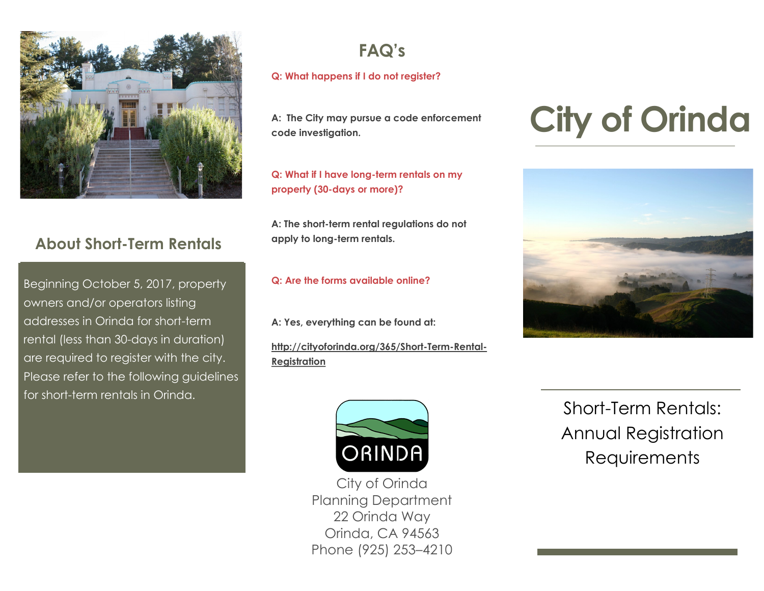

# **About Short-Term Rentals**

Beginning October 5, 2017, property owners and/or operators listing addresses in Orinda for short-term rental (less than 30-days in duration) are required to register with the city. Please refer to the following guidelines for short-term rentals in Orinda.

# **FAQ's**

#### **Q: What happens if I do not register?**

**A: The City may pursue a code enforcement code investigation.**

**Q: What if I have long-term rentals on my property (30-days or more)?**

**A: The short-term rental regulations do not apply to long-term rentals.**

**Q: Are the forms available online?**

**A: Yes, everything can be found at:**

**http://cityoforinda.org/365/Short-Term-Rental-Registration**

# **City of Orinda**





City of Orinda Planning Department 22 Orinda Way Orinda, CA 94563 Phone (925) 253–4210

Short-Term Rentals: Annual Registration Requirements